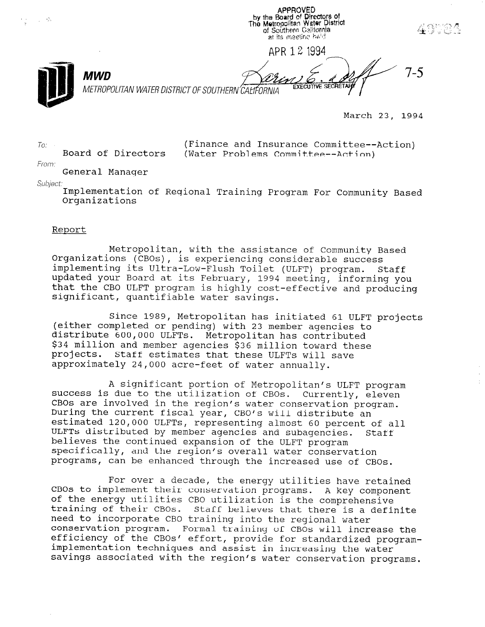by the Board of Directors of<br>The Metropolitan Water District of Southern California at its meeting held APR 12 1334 7-5 MWD **EXECUTIVE SECT** METROPOLITAN WATER DISTRICT OF SOUTHERN CALIFORNIA

March 23, 1994

(Finance and Insurance Committee--Action) (Water Problems Committee--Action)

**APPROVED** 

From:

 $To'$ 

 $\sim 10^{-1}$ 

General Manager

Board of Directors

Subject.

Implementation of Regional Training Program For Community Based Organizations

#### Report

Metropolitan, with the assistance of Community Based Organizations (CBOs), is experiencing considerable success implementing its Ultra-Low-Flush Toilet (ULFT) program. Staff updated your Board at its February, 1994 meeting, informing you that the CBO ULFT program is highly cost-effective and producing significant, quantifiable water savings.

Since 1989, Metropolitan has initiated 61 ULFT projects (either completed or pending) with 23 member agencies to distribute 600,000 ULFTs. Metropolitan has contributed \$34 million and member agencies \$36 million toward these projects. Staff estimates that these ULFTs will save approximately 24,000 acre-feet of water annually.

A significant portion of Metropolitan's ULFT program success is due to the utilization of CBOs. Currently, eleven CBOs are involved in the region's water conservation program. During the current fiscal year, CBO's will distribute an During the current fiscal year, CBO's will distribute an<br>estimated 120,000 ULFTs, representing almost 60 percent of all ULFTs distributed by member agencies and subagencies. Staff believes the continued expansion of the ULFT program perieves the continued expansion of the ULFT program specifically, and the region's overall water conservation<br>programs, can be enhanced through the increased use of CBOs.

For over a decade, the energy utilities have retained rof over a decade, the energy duffities have retain. cos to implement their conservation programs. A key comprehensive of the energy utificies tho utifization is the comprenensive training of their coos. Stall believes that there is a need to incorporate CBO training into the regional water conservation program. Formal training of CB0s will increase the efficiency of the CBOs' effort, provide for standardized programimplementation techniques and assist in increasing the water<br>savings associated with the region's water conservation programs.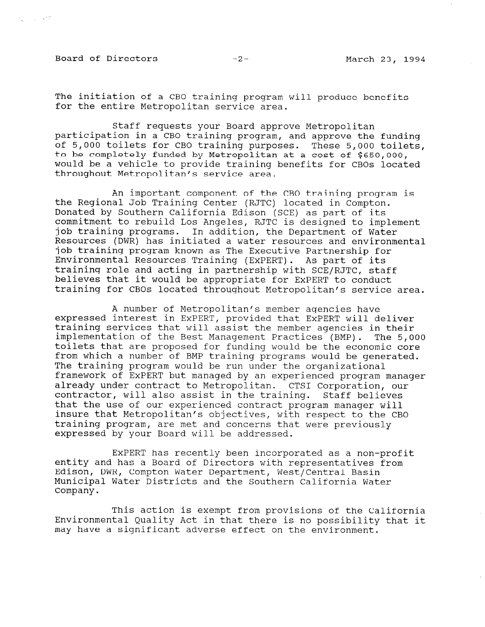Board of Directors -2- March 23, 1994

ing in Julian Strip

The initiation of a CBO training program will produce benefits for the entire Metropolitan service area.

Staff requests your Board approve Metropolitan participation in a CBO training program, and approve the funding of 5,000 toilets for CBO training purposes. These 5,000 toile to be completely funded by Metropolitan at a cost of \$650,000, would be a vehicle to provide training benefits for CBOs located throughout Metropolitan's service area.

An important component of the CBO training program is the Regional Job Training Center (RJTC) located in Compton. Donated by Southern California Edison (SCE) as part of its commitment to rebuild Los Angeles, RJTC is designed to implement job training programs. In addition, the Department of Water Resources (DWR) has initiated a water resources and environmental job training program known as The Executive Partnership for Environmental Resources Training (EXPERT). As part of its training role and acting in partnership with SCE/RJTC, staff believes that it would be appropriate for EXPERT to conduct training for CBOs located throughout Metropolitan's service area.

A number of Metropolitan's member agencies have expressed interest in EXPERT, provided that EXPERT will deliver training services that will assist the member agencies in their implementation of the Best Management Practices (BMP). The 5,000 toilets that are proposed for funding would be the economic core from which a number of BMP training programs would be generated. The training program would be run under the organizational framework of EXPERT but managed by an experienced program manager already under contract to Metropolitan. CTSI Corporation, our contractor, will also assist in the training. Staff believes that the use of our experienced contract program manager will insure that Metropolitan's objectives, with respect to the CBO training program, are met and concerns that were previously expressed by your Board will be addressed.

EXPERT has recently been incorporated as a non-profit entity and has a Board of Directors with representatives from Edison, DWR, Compton Water Department, West/Central Basin Municipal Water Districts and the Southern California Water Company.

This action is exempt from provisions of the California Environmental Quality Act in that there is no possibility that it environmental guality act in that there is no possible